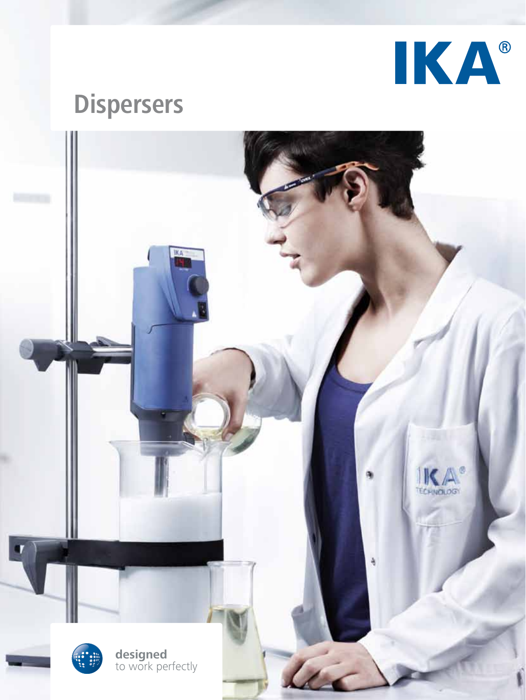

# **Dispersers**

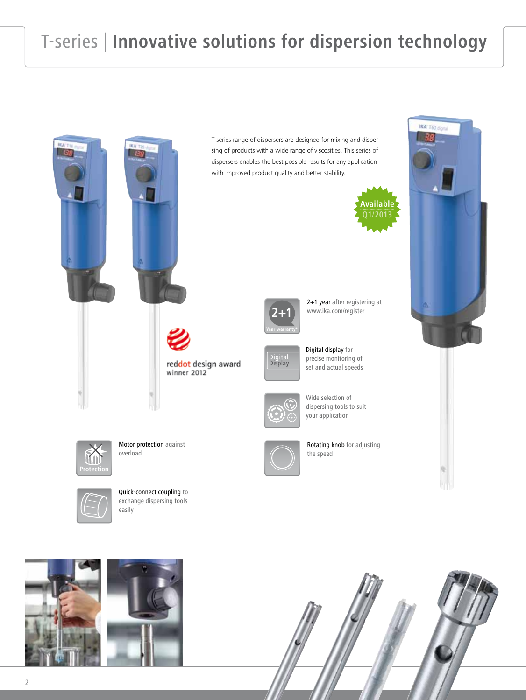## T-series | **Innovative solutions for dispersion technology**



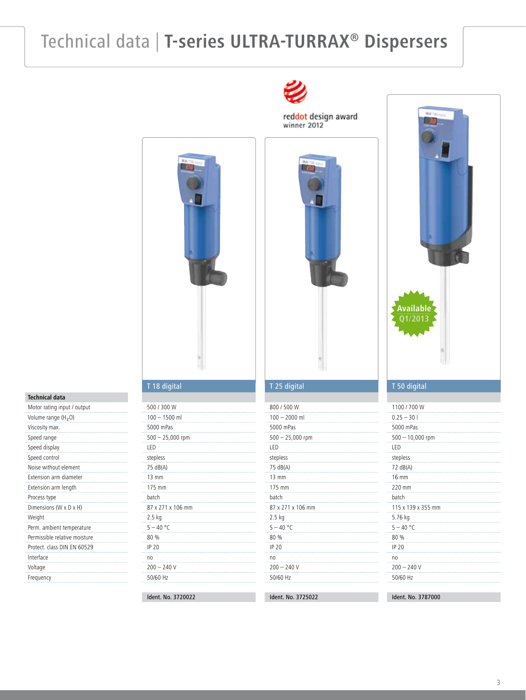### Technical data | **T-series ULTRA-TURRAX® Dispersers**



#### **Technical data**

| Motor rating input / output     |
|---------------------------------|
| Volume range (H <sub>2</sub> O) |
| Viscosity max.                  |
| Speed range                     |
| Speed display                   |
| Speed control                   |
| Noise without element           |
| Extension arm diameter          |
| Extension arm length            |
| Process type                    |
| Dimensions (W x D x H)          |
| Weight                          |
| Perm. ambient temperature       |
| Permissible relative moisture   |
| Protect. class DIN EN 60529     |
| Interface                       |
| Voltage                         |
| Frequency                       |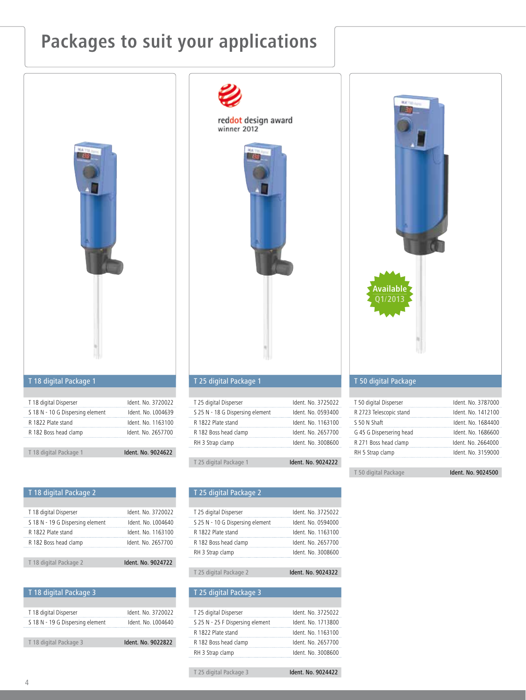### **Packages to suit your applications**



| T 18 digital Package 1                      |                                          |
|---------------------------------------------|------------------------------------------|
| R 1822 Plate stand<br>R 182 Boss head clamp | Ident. No. 1163100<br>Ident. No. 2657700 |
| S 18 N - 10 G Dispersing element            | Ident. No. 1004639                       |
| T 18 digital Disperser                      | Ident. No. 3720022                       |

### T 18 digital Package 2

| T 18 digital Disperser           | Ident. No. 3720022 |
|----------------------------------|--------------------|
| S 18 N - 19 G Dispersing element | Ident. No. L004640 |
| R 1822 Plate stand               | Ident. No. 1163100 |
| R 182 Boss head clamp            | Ident. No. 2657700 |
|                                  |                    |
| T 18 digital Package 2           | Ident. No. 9024722 |

| T 18 digital Package 3           |                    |
|----------------------------------|--------------------|
|                                  |                    |
| T 18 digital Disperser           | Ident. No. 3720022 |
| S 18 N - 19 G Dispersing element | Ident. No. L004640 |
|                                  |                    |
| T 18 digital Package 3           | Ident. No. 9022822 |



red<mark>dot</mark> design award<br>winner 2012

#### T 25 digital Package 1

| T 25 digital Disperser           | Ident. No. 3725022 |
|----------------------------------|--------------------|
| S 25 N - 18 G Dispersing element | Ident. No. 0593400 |
| R 1822 Plate stand               | Ident, No. 1163100 |
| R 182 Boss head clamp            | Ident. No. 2657700 |
| RH 3 Strap clamp                 | Ident. No. 3008600 |
|                                  |                    |
| T 25 digital Package 1           | Ident. No. 9024222 |

#### T 25 digital Package 2

| T 25 digital Disperser           | Ident. No. 3725022 |
|----------------------------------|--------------------|
| S 25 N - 10 G Dispersing element | Ident. No. 0594000 |
| R 1822 Plate stand               | Ident. No. 1163100 |
| R 182 Boss head clamp            | Ident. No. 2657700 |
| RH 3 Strap clamp                 | Ident. No. 3008600 |
|                                  |                    |
|                                  |                    |

T 25 digital Package 2 **Ident. No. 9024322** 

| Ident. No. 3725022 |
|--------------------|
| Ident. No. 1713800 |
| Ident, No. 1163100 |
| Ident. No. 2657700 |
| Ident. No. 3008600 |
|                    |
| Ident. No. 9024422 |
|                    |



#### T 50 digital Package

| T 50 digital Package     | Ident. No. 9024500 |
|--------------------------|--------------------|
|                          |                    |
| RH 5 Strap clamp         | Ident. No. 3159000 |
| R 271 Boss head clamp    | Ident. No. 2664000 |
| G 45 G Dispersering head | Ident. No. 1686600 |
| S 50 N Shaft             | Ident, No. 1684400 |
| R 2723 Telescopic stand  | Ident. No. 1412100 |
| T 50 digital Disperser   | Ident. No. 3787000 |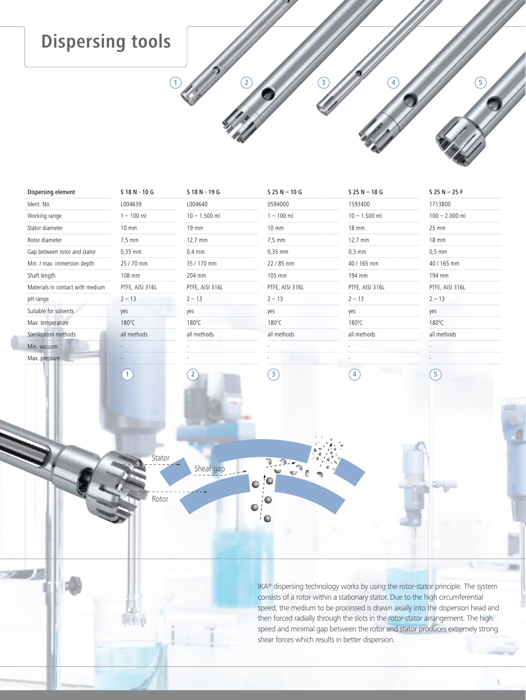### **Dispersing tools**

| Dispersing element               | S 18 N - 10 G    | S 18 N - 19 G       | $S$ 25 N $-$ 10 G       | $S$ 25 N $-$ 18 G | $S$ 25 N $-$ 25 F        |
|----------------------------------|------------------|---------------------|-------------------------|-------------------|--------------------------|
| Ident. No.                       | L004639          | L004640             | 0594000                 | 1593400           | 1713800                  |
| Working range                    | $1 - 100$ ml     | $10 - 1.500$ ml     | $1 - 100$ ml            | $10 - 1.500$ ml   | $100 - 2.000$ ml         |
| Stator diameter                  | 10 mm            | 19 mm               | $10 \text{ mm}$         | 18 mm             | $25 \text{ mm}$          |
| Rotor diameter                   | $7.5 \text{ mm}$ | $12,7 \, \text{mm}$ | $7,5$ mm                | 12,7 mm           | $18 \text{ mm}$          |
| Gap between rotor and stator     | $0,35$ mm        | $0.4$ mm            | $0.35$ mm               | $0,3$ mm          | $0.5$ mm                 |
| Min. / max. immersion depth      | 25 / 70 mm       | 35 / 170 mm         | 22 / 85 mm              | 40 / 165 mm       | 40 / 165 mm              |
| Shaft length                     | 108 mm           | 204 mm              | 105 mm                  | 194 mm            | 194 mm                   |
| Materials in contact with medium | PTFE, AISI 316L  | PTFE, AISI 316L     | PTFE, AISI 316L         | PTFE, AISI 316L   | PTFE, AISI 316L          |
| pH range                         | $2 - 13$         | $2 - 13$            | $2 - 13$                | $2 - 13$          | $2 - 13$                 |
| Suitable for solvents            | yes              | yes                 | yes                     | yes               | yes                      |
| Max. temperature                 | $180^{\circ}$ C  | $180^{\circ}$ C     | $180^{\circ}$ C         | $180^{\circ}$ C   | $180^{\circ}$ C          |
| Sterilization methods            | all methods      | all methods         | all methods             | all methods       | all methods              |
| Min. vacuum                      |                  |                     |                         |                   |                          |
| Max. pressure                    |                  |                     |                         |                   |                          |
|                                  | $\mathbf{1}$     | $\overline{2}$      | $\overline{\mathbf{3}}$ | 4                 | $\left  5 \right\rangle$ |

**2**

**3**

**4**

**5**

Stator Shear gap

**1**

Rotor

IKA® dispersing technology works by using the rotor-stator principle. The system consists of a rotor within a stationary stator. Due to the high circumferential speed, the medium to be processed is drawn axially into the dispersion head and then forced radially through the slots in the rotor-stator arrangement. The high speed and minimal gap between the rotor and stator produces extremely strong shear forces which results in better dispersion.